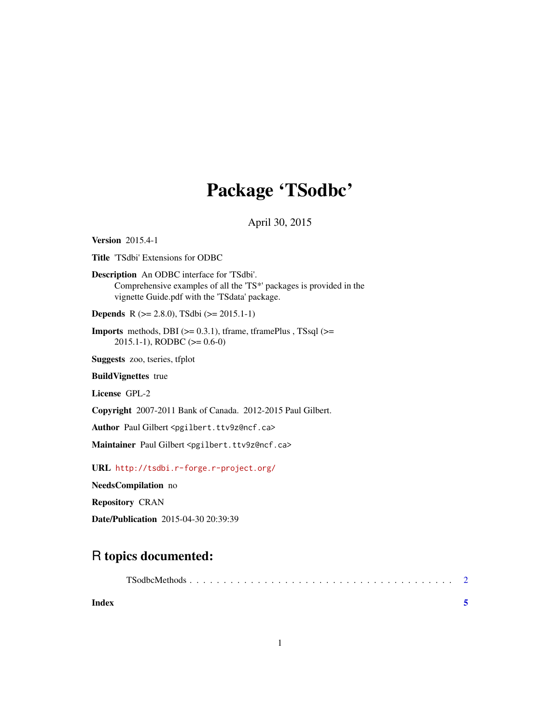# Package 'TSodbc'

April 30, 2015

<span id="page-0-0"></span>Version 2015.4-1

Title 'TSdbi' Extensions for ODBC

Description An ODBC interface for 'TSdbi'. Comprehensive examples of all the 'TS\*' packages is provided in the vignette Guide.pdf with the 'TSdata' package.

Depends R (>= 2.8.0), TSdbi (>= 2015.1-1)

**Imports** methods, DBI  $(>= 0.3.1)$ , tframe, tframePlus, TSsql  $(>=$ 2015.1-1), RODBC (>= 0.6-0)

Suggests zoo, tseries, tfplot

BuildVignettes true

License GPL-2

Copyright 2007-2011 Bank of Canada. 2012-2015 Paul Gilbert.

Author Paul Gilbert <pgilbert.ttv9z@ncf.ca>

Maintainer Paul Gilbert <pgilbert.ttv9z@ncf.ca>

URL <http://tsdbi.r-forge.r-project.org/>

NeedsCompilation no

Repository CRAN

Date/Publication 2015-04-30 20:39:39

# R topics documented:

| Index |  |  |  |  |  |  |  |  |  |  |  |  |  |  |  |
|-------|--|--|--|--|--|--|--|--|--|--|--|--|--|--|--|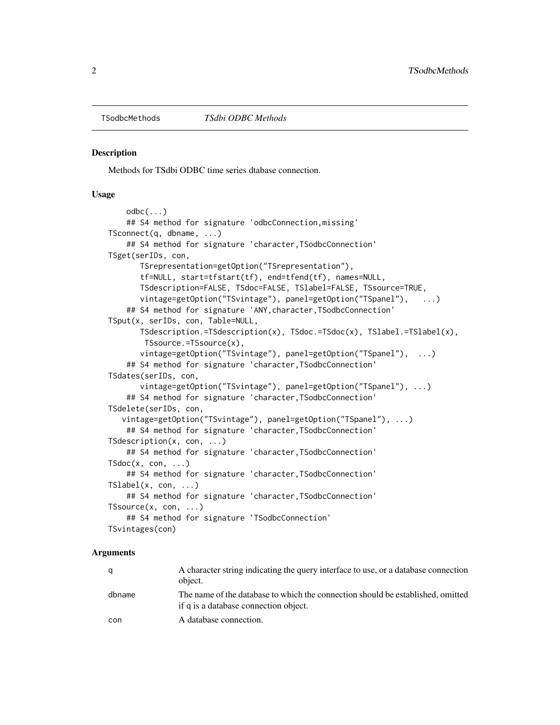<span id="page-1-0"></span>

#### **Description**

Methods for TSdbi ODBC time series dtabase connection.

#### Usage

```
\text{odbc}(\ldots)## S4 method for signature 'odbcConnection,missing'
TSconnect(q, dbname, ...)
    ## S4 method for signature 'character,TSodbcConnection'
TSget(serIDs, con,
       TSrepresentation=getOption("TSrepresentation"),
       tf=NULL, start=tfstart(tf), end=tfend(tf), names=NULL,
       TSdescription=FALSE, TSdoc=FALSE, TSlabel=FALSE, TSsource=TRUE,
       vintage=getOption("TSvintage"), panel=getOption("TSpanel"), ...)
    ## S4 method for signature 'ANY,character,TSodbcConnection'
TSput(x, serIDs, con, Table=NULL,
       TSdescription.=TSdescription(x), TSdoc.=TSdoc(x), TSlabel.=TSlabel(x),
        TSsource.=TSsource(x),
       vintage=getOption("TSvintage"), panel=getOption("TSpanel"), ...)
    ## S4 method for signature 'character,TSodbcConnection'
TSdates(serIDs, con,
       vintage=getOption("TSvintage"), panel=getOption("TSpanel"), ...)
    ## S4 method for signature 'character, TSodbcConnection'
TSdelete(serIDs, con,
   vintage=getOption("TSvintage"), panel=getOption("TSpanel"), ...)
    ## S4 method for signature 'character,TSodbcConnection'
TSdescription(x, con, ...)
    ## S4 method for signature 'character,TSodbcConnection'
TSdoc(x, con, ...)## S4 method for signature 'character, TSodbcConnection'
TSlabel(x, con, ...)
    ## S4 method for signature 'character,TSodbcConnection'
TSsource(x, con, ...)
    ## S4 method for signature 'TSodbcConnection'
TSvintages(con)
```
#### Arguments

| q      | A character string indicating the query interface to use, or a database connection<br>object.                            |
|--------|--------------------------------------------------------------------------------------------------------------------------|
| dbname | The name of the database to which the connection should be established, omitted<br>if q is a database connection object. |
| con    | A database connection.                                                                                                   |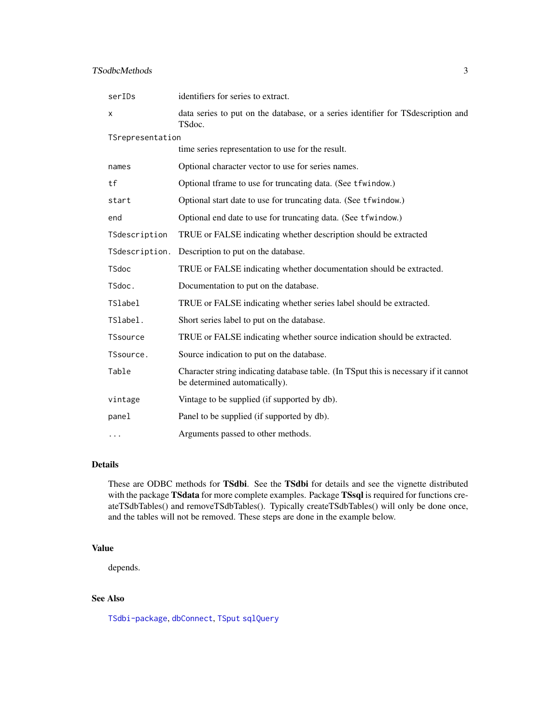## <span id="page-2-0"></span>TSodbcMethods 3

| serIDs           | identifiers for series to extract.                                                                                    |  |  |  |  |  |  |  |  |
|------------------|-----------------------------------------------------------------------------------------------------------------------|--|--|--|--|--|--|--|--|
| X                | data series to put on the database, or a series identifier for TS description and<br>TSdoc.                           |  |  |  |  |  |  |  |  |
| TSrepresentation |                                                                                                                       |  |  |  |  |  |  |  |  |
|                  | time series representation to use for the result.                                                                     |  |  |  |  |  |  |  |  |
| names            | Optional character vector to use for series names.                                                                    |  |  |  |  |  |  |  |  |
| tf               | Optional tframe to use for truncating data. (See tfwindow.)                                                           |  |  |  |  |  |  |  |  |
| start            | Optional start date to use for truncating data. (See tfwindow.)                                                       |  |  |  |  |  |  |  |  |
| end              | Optional end date to use for truncating data. (See tfwindow.)                                                         |  |  |  |  |  |  |  |  |
| TSdescription    | TRUE or FALSE indicating whether description should be extracted                                                      |  |  |  |  |  |  |  |  |
| TSdescription.   | Description to put on the database.                                                                                   |  |  |  |  |  |  |  |  |
| TSdoc            | TRUE or FALSE indicating whether documentation should be extracted.                                                   |  |  |  |  |  |  |  |  |
| TSdoc.           | Documentation to put on the database.                                                                                 |  |  |  |  |  |  |  |  |
| <b>TSlabel</b>   | TRUE or FALSE indicating whether series label should be extracted.                                                    |  |  |  |  |  |  |  |  |
| TSlabel.         | Short series label to put on the database.                                                                            |  |  |  |  |  |  |  |  |
| <b>TSsource</b>  | TRUE or FALSE indicating whether source indication should be extracted.                                               |  |  |  |  |  |  |  |  |
| TSsource.        | Source indication to put on the database.                                                                             |  |  |  |  |  |  |  |  |
| Table            | Character string indicating database table. (In TSput this is necessary if it cannot<br>be determined automatically). |  |  |  |  |  |  |  |  |
| vintage          | Vintage to be supplied (if supported by db).                                                                          |  |  |  |  |  |  |  |  |
| panel            | Panel to be supplied (if supported by db).                                                                            |  |  |  |  |  |  |  |  |
| .                | Arguments passed to other methods.                                                                                    |  |  |  |  |  |  |  |  |

## Details

These are ODBC methods for TSdbi. See the TSdbi for details and see the vignette distributed with the package TSdata for more complete examples. Package TSsql is required for functions createTSdbTables() and removeTSdbTables(). Typically createTSdbTables() will only be done once, and the tables will not be removed. These steps are done in the example below.

#### Value

depends.

# See Also

[TSdbi-package](#page-0-0), [dbConnect](#page-0-0), [TSput](#page-0-0) [sqlQuery](#page-0-0)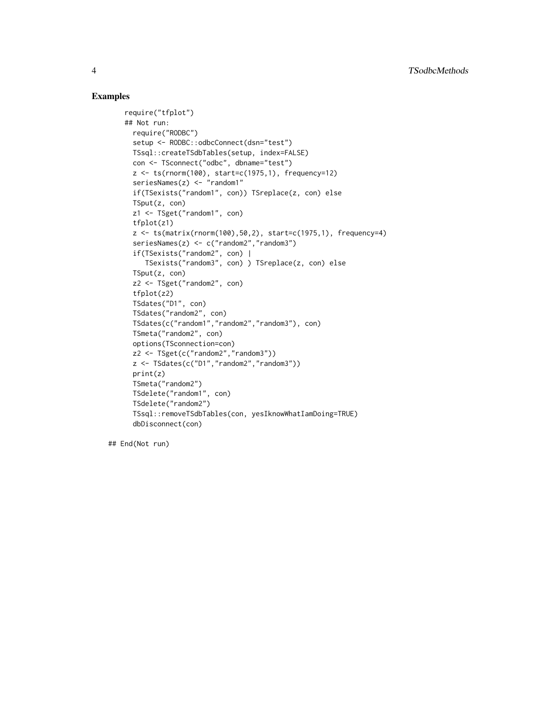## Examples

```
require("tfplot")
## Not run:
  require("RODBC")
  setup <- RODBC::odbcConnect(dsn="test")
 TSsql::createTSdbTables(setup, index=FALSE)
  con <- TSconnect("odbc", dbname="test")
  z <- ts(rnorm(100), start=c(1975,1), frequency=12)
  seriesNames(z) <- "random1"
  if(TSexists("random1", con)) TSreplace(z, con) else
  TSput(z, con)
  z1 <- TSget("random1", con)
  tfplot(z1)
  z \leq ts(matrix(rnorm(100),50,2), start=c(1975,1), frequency=4)
  seriesNames(z) <- c("random2","random3")
  if(TSexists("random2", con) |
    TSexists("random3", con) ) TSreplace(z, con) else
  TSput(z, con)
  z2 <- TSget("random2", con)
  tfplot(z2)
  TSdates("D1", con)
  TSdates("random2", con)
  TSdates(c("random1","random2","random3"), con)
  TSmeta("random2", con)
  options(TSconnection=con)
  z2 <- TSget(c("random2","random3"))
  z <- TSdates(c("D1","random2","random3"))
  print(z)
  TSmeta("random2")
  TSdelete("random1", con)
  TSdelete("random2")
  TSsql::removeTSdbTables(con, yesIknowWhatIamDoing=TRUE)
  dbDisconnect(con)
```
## End(Not run)